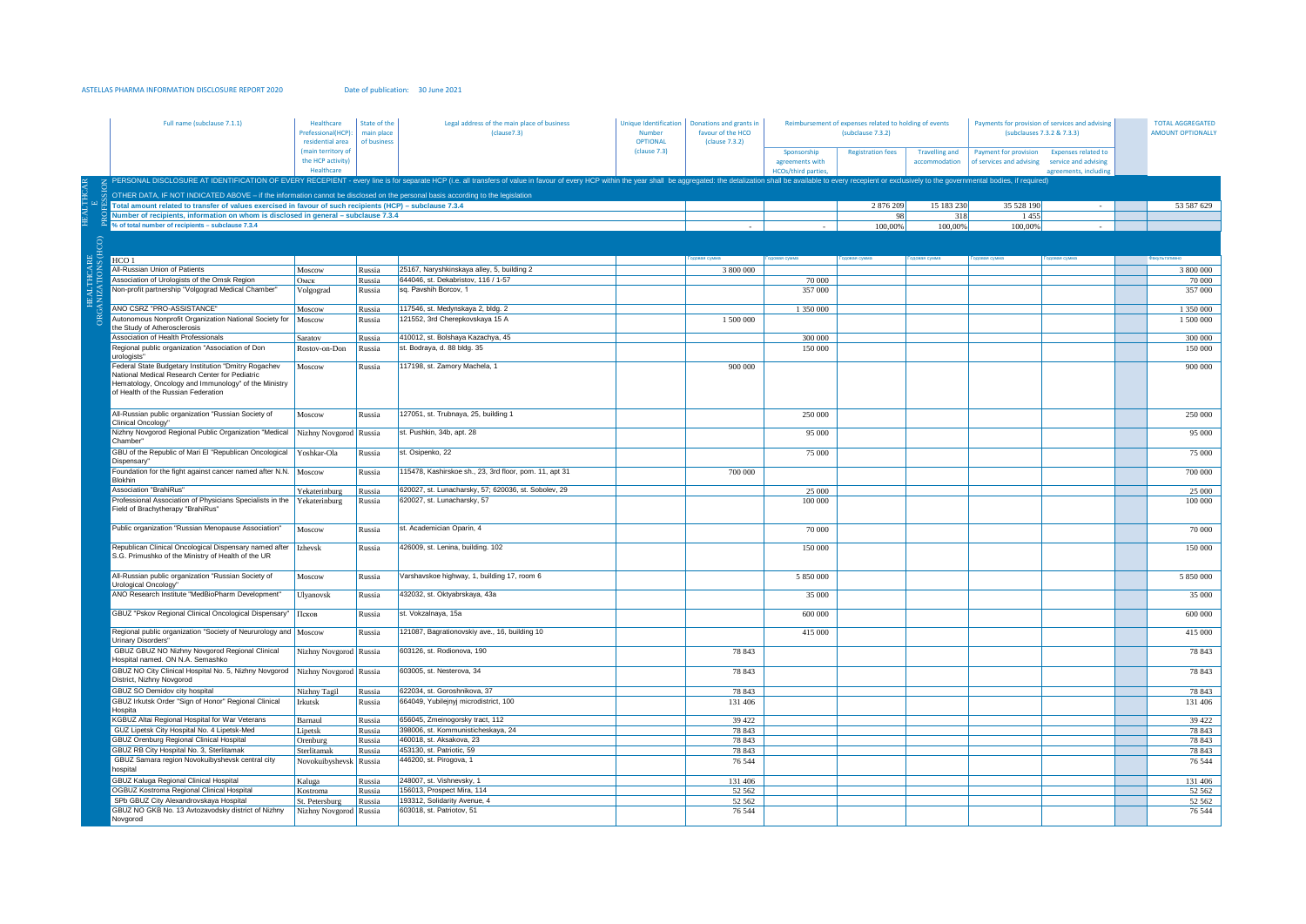## ASTELLAS PHARMA INFORMATION DISCLOSURE REPORT 2020 Date of publication: 30 June 2021

|  | Full name (subclause 7.1.1)                                                                                                                                                                           | Healthcare<br>Prefessional(HCP):<br>residential area | State of the<br>main place<br>of business | Legal address of the main place of business<br>(clause7.3)                                                                                                                                                                     | Number<br><b>OPTIONAL</b> | Unique Identification   Donations and grants in<br>favour of the HCO<br>(clause 7.3.2) | Reimbursement of expenses related to holding of events<br>(subclause 7.3.2) |                          |                                        | Payments for provision of services and advising<br>(subclauses 7.3.2 & 7.3.3) |                                                                             | <b>TOTAL AGGREGATED</b><br><b>AMOUNT OPTIONALLY</b> |
|--|-------------------------------------------------------------------------------------------------------------------------------------------------------------------------------------------------------|------------------------------------------------------|-------------------------------------------|--------------------------------------------------------------------------------------------------------------------------------------------------------------------------------------------------------------------------------|---------------------------|----------------------------------------------------------------------------------------|-----------------------------------------------------------------------------|--------------------------|----------------------------------------|-------------------------------------------------------------------------------|-----------------------------------------------------------------------------|-----------------------------------------------------|
|  |                                                                                                                                                                                                       | main territory of<br>the HCP activity)<br>Healthcare |                                           |                                                                                                                                                                                                                                | (clause 7.3)              |                                                                                        | Sponsorship<br>agreements with<br><b>HCOs/third parties,</b>                | <b>Registration fees</b> | <b>Travelling and</b><br>accommodation | Payment for provision<br>of services and advising                             | <b>Expenses related to</b><br>service and advising<br>agreements, including |                                                     |
|  |                                                                                                                                                                                                       |                                                      |                                           | Z PERSONAL DISCLOSURE AT IDENTIFICATION OF EVERY RECEPIENT - every line is for separate HCP (i.e. all transfers of value in favour of every HCP within the year shall be aggregated: the detalization shall be available to ev |                           |                                                                                        |                                                                             |                          |                                        |                                                                               |                                                                             |                                                     |
|  | OTHER DATA, IF NOT INDICATED ABOVE - if the information cannot be disclosed on the personal basis according to the legislation                                                                        |                                                      |                                           |                                                                                                                                                                                                                                |                           |                                                                                        |                                                                             |                          |                                        |                                                                               |                                                                             |                                                     |
|  | Total amount related to transfer of values exercised in favour of such recipients (HCP) - subclause 7.3.4                                                                                             |                                                      |                                           |                                                                                                                                                                                                                                |                           |                                                                                        |                                                                             | 2 876 209                | 15 183 230                             | 35 528 190                                                                    |                                                                             | 53 587 629                                          |
|  | Number of recipients, information on whom is disclosed in general - subclause 7.3.4                                                                                                                   |                                                      |                                           |                                                                                                                                                                                                                                |                           |                                                                                        |                                                                             | 98                       | 318                                    | 1455                                                                          |                                                                             |                                                     |
|  | % of total number of recipients - subclause 7.3.4                                                                                                                                                     |                                                      |                                           |                                                                                                                                                                                                                                |                           |                                                                                        |                                                                             | 100,00%                  | 100,00%                                | 100,00%                                                                       |                                                                             |                                                     |
|  |                                                                                                                                                                                                       |                                                      |                                           |                                                                                                                                                                                                                                |                           |                                                                                        |                                                                             |                          |                                        |                                                                               |                                                                             |                                                     |
|  |                                                                                                                                                                                                       |                                                      |                                           |                                                                                                                                                                                                                                |                           |                                                                                        |                                                                             |                          |                                        |                                                                               |                                                                             |                                                     |
|  | HCO <sub>1</sub>                                                                                                                                                                                      |                                                      |                                           |                                                                                                                                                                                                                                |                           |                                                                                        |                                                                             |                          |                                        |                                                                               |                                                                             |                                                     |
|  | All-Russian Union of Patients                                                                                                                                                                         | Moscow                                               | Russia                                    | 25167, Naryshkinskaya alley, 5, building 2                                                                                                                                                                                     |                           | 3 800 000                                                                              |                                                                             |                          |                                        |                                                                               |                                                                             | 3 800 000                                           |
|  | Association of Urologists of the Omsk Region                                                                                                                                                          | Омск                                                 | Russia                                    | 644046, st. Dekabristov, 116 / 1-57                                                                                                                                                                                            |                           |                                                                                        | 70 000                                                                      |                          |                                        |                                                                               |                                                                             | 70 000                                              |
|  | Non-profit partnership "Volgograd Medical Chamber"                                                                                                                                                    | Volgograd                                            | Russia                                    | sq. Pavshih Borcov, 1                                                                                                                                                                                                          |                           |                                                                                        | 357 000                                                                     |                          |                                        |                                                                               |                                                                             | 357 000                                             |
|  | ANO CSRZ "PRO-ASSISTANCE"                                                                                                                                                                             | Moscow                                               | Russia                                    | 117546, st. Medynskaya 2, bldg. 2                                                                                                                                                                                              |                           |                                                                                        | 1 350 000                                                                   |                          |                                        |                                                                               |                                                                             | 1 350 000                                           |
|  | Autonomous Nonprofit Organization National Society for   Moscow                                                                                                                                       |                                                      | Russia                                    | 121552, 3rd Cherepkovskaya 15 A                                                                                                                                                                                                |                           | 1 500 000                                                                              |                                                                             |                          |                                        |                                                                               |                                                                             | 1 500 000                                           |
|  | the Study of Atherosclerosis                                                                                                                                                                          |                                                      |                                           |                                                                                                                                                                                                                                |                           |                                                                                        |                                                                             |                          |                                        |                                                                               |                                                                             |                                                     |
|  | Association of Health Professionals                                                                                                                                                                   | Saratov                                              | Russia                                    | 410012, st. Bolshaya Kazachya, 45                                                                                                                                                                                              |                           |                                                                                        | 300 000                                                                     |                          |                                        |                                                                               |                                                                             | 300 000                                             |
|  | Regional public organization "Association of Don<br>urologists"                                                                                                                                       | Rostov-on-Don                                        | Russia                                    | st. Bodraya, d. 88 bldg. 35                                                                                                                                                                                                    |                           |                                                                                        | 150 000                                                                     |                          |                                        |                                                                               |                                                                             | 150 000                                             |
|  | Federal State Budgetary Institution "Dmitry Rogachev<br>Vational Medical Research Center for Pediatric<br>Hematology, Oncology and Immunology" of the Ministry<br>of Health of the Russian Federation | Moscow                                               | Russia                                    | 117198, st. Zamory Machela, 1                                                                                                                                                                                                  |                           | 900 000                                                                                |                                                                             |                          |                                        |                                                                               |                                                                             | $900\,\overline{000}$                               |
|  | All-Russian public organization "Russian Society of<br><b>Clinical Oncology</b>                                                                                                                       | Moscow                                               | Russia                                    | 127051, st. Trubnaya, 25, building 1                                                                                                                                                                                           |                           |                                                                                        | 250 000                                                                     |                          |                                        |                                                                               |                                                                             | 250 000                                             |
|  | Nizhny Novgorod Regional Public Organization "Medical Nizhny Novgorod Russia<br>Chamber                                                                                                               |                                                      |                                           | st. Pushkin, 34b, apt. 28                                                                                                                                                                                                      |                           |                                                                                        | 95 000                                                                      |                          |                                        |                                                                               |                                                                             | 95 000                                              |
|  | GBU of the Republic of Mari El "Republican Oncological Yoshkar-Ola<br>Dispensary"                                                                                                                     |                                                      | Russia                                    | st. Osipenko, 22                                                                                                                                                                                                               |                           |                                                                                        | 75 000                                                                      |                          |                                        |                                                                               |                                                                             | 75 000                                              |
|  | Foundation for the fight against cancer named after N.N. Moscow<br><b>Blokhin</b>                                                                                                                     |                                                      | Russia                                    | 115478, Kashirskoe sh., 23, 3rd floor, pom. 11, apt 31                                                                                                                                                                         |                           | 700 000                                                                                |                                                                             |                          |                                        |                                                                               |                                                                             | 700 000                                             |
|  | <b>Association "BrahiRus"</b>                                                                                                                                                                         | Yekaterinburg                                        | Russia                                    | 620027, st. Lunacharsky, 57; 620036, st. Sobolev, 29                                                                                                                                                                           |                           |                                                                                        | 25 000                                                                      |                          |                                        |                                                                               |                                                                             | 25 000                                              |
|  | Professional Association of Physicians Specialists in the Yekaterinburg<br>Field of Brachytherapy "BrahiRus"                                                                                          |                                                      | Russia                                    | 620027, st. Lunacharsky, 57                                                                                                                                                                                                    |                           |                                                                                        | 100 000                                                                     |                          |                                        |                                                                               |                                                                             | 100 000                                             |
|  | Public organization "Russian Menopause Association"                                                                                                                                                   | Moscow                                               | Russia                                    | st. Academician Oparin, 4                                                                                                                                                                                                      |                           |                                                                                        | 70 000                                                                      |                          |                                        |                                                                               |                                                                             | 70 000                                              |
|  | Republican Clinical Oncological Dispensary named after   Izhevsk<br>S.G. Primushko of the Ministry of Health of the UR                                                                                |                                                      | Russia                                    | 426009, st. Lenina, building. 102                                                                                                                                                                                              |                           |                                                                                        | 150 000                                                                     |                          |                                        |                                                                               |                                                                             | 150 000                                             |
|  | All-Russian public organization "Russian Society of<br>Jrological Oncology                                                                                                                            | Moscow                                               | Russia                                    | Varshavskoe highway, 1, building 17, room 6                                                                                                                                                                                    |                           |                                                                                        | 5 850 000                                                                   |                          |                                        |                                                                               |                                                                             | 5 850 000                                           |
|  | ANO Research Institute "MedBioPharm Development"                                                                                                                                                      | Ulyanovsk                                            | Russia                                    | 432032, st. Oktyabrskaya, 43a                                                                                                                                                                                                  |                           |                                                                                        | 35 000                                                                      |                          |                                        |                                                                               |                                                                             | 35 000                                              |
|  | GBUZ "Pskov Regional Clinical Oncological Dispensary"                                                                                                                                                 | Псков                                                | Russia                                    | st. Vokzalnaya, 15a                                                                                                                                                                                                            |                           |                                                                                        | 600 000                                                                     |                          |                                        |                                                                               |                                                                             | 600 000                                             |
|  | Regional public organization "Society of Neururology and   Moscow<br><b>Urinary Disorders"</b>                                                                                                        |                                                      | Russia                                    | 121087, Bagrationovskiy ave., 16, building 10                                                                                                                                                                                  |                           |                                                                                        | 415 000                                                                     |                          |                                        |                                                                               |                                                                             | 415 000                                             |
|  | GBUZ GBUZ NO Nizhny Novgorod Regional Clinical<br>Hospital named. ON N.A. Semashko                                                                                                                    | Nizhny Novgorod Russia                               |                                           | 603126, st. Rodionova, 190                                                                                                                                                                                                     |                           | 78 843                                                                                 |                                                                             |                          |                                        |                                                                               |                                                                             | 78 843                                              |
|  | GBUZ NO City Clinical Hospital No. 5, Nizhny Novgorod   Nizhny Novgorod   Russia<br>District, Nizhny Novgorod                                                                                         |                                                      |                                           | 603005, st. Nesterova, 34                                                                                                                                                                                                      |                           | 78 843                                                                                 |                                                                             |                          |                                        |                                                                               |                                                                             | 78 843                                              |
|  | GBUZ SO Demidov city hospital                                                                                                                                                                         | Nizhny Tagil                                         | Russia                                    | 622034, st. Goroshnikova, 37                                                                                                                                                                                                   |                           | 78 843                                                                                 |                                                                             |                          |                                        |                                                                               |                                                                             | 78 843                                              |
|  | GBUZ Irkutsk Order "Sign of Honor" Regional Clinical<br>Hospita                                                                                                                                       | Irkutsk                                              | Russia                                    | 664049, Yubilejnyj microdistrict, 100                                                                                                                                                                                          |                           | 131 406                                                                                |                                                                             |                          |                                        |                                                                               |                                                                             | 131 406                                             |
|  | KGBUZ Altai Regional Hospital for War Veterans                                                                                                                                                        | Barnaul                                              | Russia                                    | 656045, Zmeinogorsky tract, 112                                                                                                                                                                                                |                           | 39 4 22                                                                                |                                                                             |                          |                                        |                                                                               |                                                                             | 39 4 22                                             |
|  | GUZ Lipetsk City Hospital No. 4 Lipetsk-Med<br>GBUZ Orenburg Regional Clinical Hospital                                                                                                               | Lipetsk                                              | Russia                                    | 398006. st. Kommunisticheskava. 24                                                                                                                                                                                             |                           | 78 843                                                                                 |                                                                             |                          |                                        |                                                                               |                                                                             | 78 843                                              |
|  | GBUZ RB City Hospital No. 3, Sterlitamak                                                                                                                                                              | Orenburg                                             | Russia                                    | 460018, st. Aksakova, 23<br>453130, st. Patriotic, 59                                                                                                                                                                          |                           | 78 843<br>78 843                                                                       |                                                                             |                          |                                        |                                                                               |                                                                             | 78 843<br>78 843                                    |
|  | GBUZ Samara region Novokuibyshevsk central city                                                                                                                                                       | Sterlitamak<br>Novokuibyshevsk Russia                | Russia                                    | 446200, st. Pirogova, 1                                                                                                                                                                                                        |                           | 76 544                                                                                 |                                                                             |                          |                                        |                                                                               |                                                                             | 76 5 44                                             |
|  | hospital                                                                                                                                                                                              |                                                      |                                           |                                                                                                                                                                                                                                |                           |                                                                                        |                                                                             |                          |                                        |                                                                               |                                                                             |                                                     |
|  | GBUZ Kaluga Regional Clinical Hospital                                                                                                                                                                | Kaluga                                               | Russia                                    | 248007, st. Vishnevsky, 1                                                                                                                                                                                                      |                           | 131 406                                                                                |                                                                             |                          |                                        |                                                                               |                                                                             | 131 406                                             |
|  | OGBUZ Kostroma Regional Clinical Hospital                                                                                                                                                             | Kostroma                                             | Russia                                    | 156013, Prospect Mira, 114                                                                                                                                                                                                     |                           | 52 562                                                                                 |                                                                             |                          |                                        |                                                                               |                                                                             | 52 562                                              |
|  | SPb GBUZ City Alexandrovskaya Hospital                                                                                                                                                                | St. Petersburg                                       | Russia                                    | 193312, Solidarity Avenue, 4                                                                                                                                                                                                   |                           | 52 562                                                                                 |                                                                             |                          |                                        |                                                                               |                                                                             | 52 562                                              |
|  | GBUZ NO GKB No. 13 Avtozavodsky district of Nizhny<br>Novgorod                                                                                                                                        | Nizhny Novgorod Russia                               |                                           | 603018, st. Patriotov, 51                                                                                                                                                                                                      |                           | 76 544                                                                                 |                                                                             |                          |                                        |                                                                               |                                                                             | 76 544                                              |